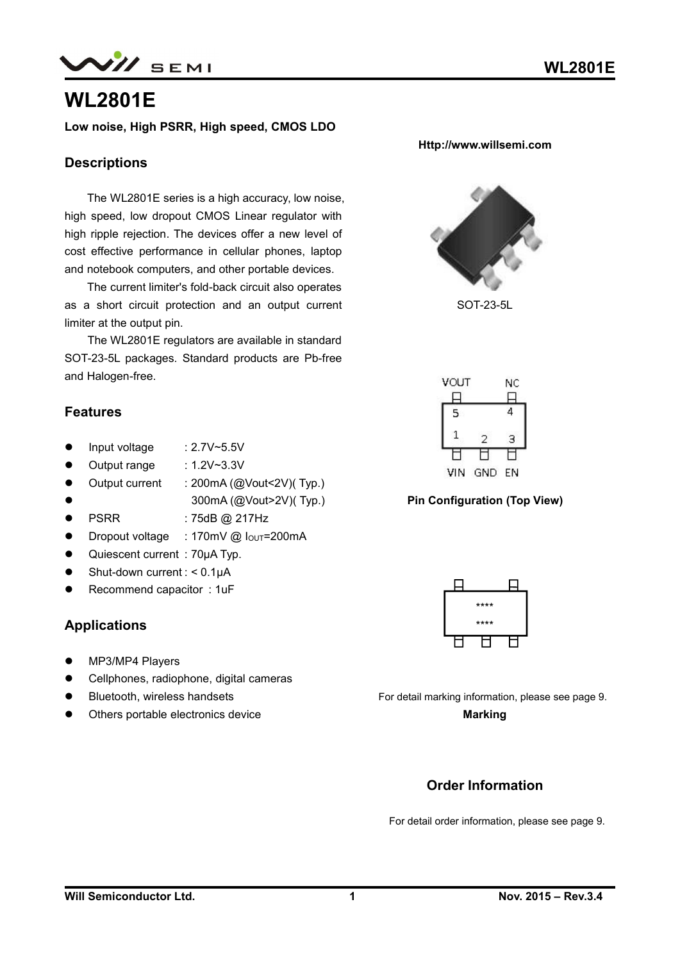$N\!$  semi

# **WL2801E**

**Low noise, High PSRR, High speed, CMOS LDO**

### **Descriptions**

The WL2801E series is a high accuracy, low noise, high speed, low dropout CMOS Linear regulator with high ripple rejection. The devices offer a new level of cost effective performance in cellular phones, laptop and notebook computers, and other portable devices.

The current limiter's fold-back circuit also operates as a short circuit protection and an output current limiter at the output pin.

The WL2801E regulators are available in standard SOT-23-5L packages. Standard products are Pb-free and Halogen-free.

### **Features**

- Input voltage : 2.7V~5.5V
- Output range : 1.2V~3.3V
- Output current : 200mA (@Vout<2V)(Typ.)
- 
- 300mA (@Vout>2V)( Typ.)
- PSRR : 75dB @ 217Hz
- Dropout voltage : 170mV @ I<sub>OUT</sub>=200mA
- Quiescent current : 70μA Typ.
- $\bullet$  Shut-down current : < 0.1 $\mu$ A
- Recommend capacitor : 1uF

### **Applications**

- MP3/MP4 Players
- Cellphones, radiophone, digital cameras
- **•** Bluetooth, wireless handsets
- Others portable electronics device

**Http://www.willsemi.com**

SOT-23-5L



#### **Pin Configuration (Top View)**



For detail marking information, please see page 9.

**Marking**

## **Order Information**

For detail order information, please see page 9.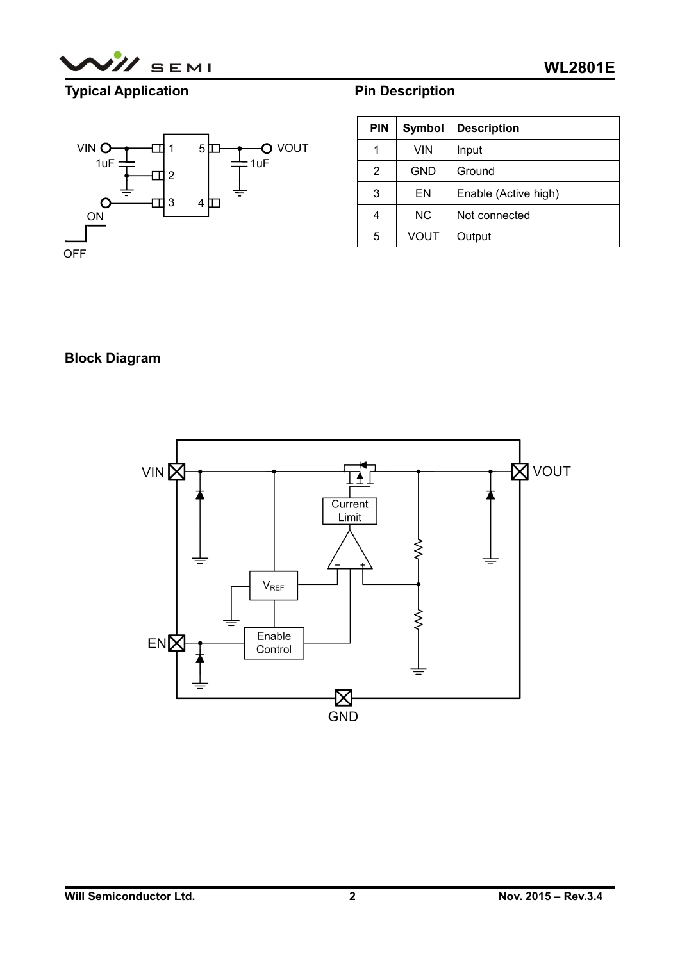

# **Typical Application**



|  | <b>Pin Description</b> |  |
|--|------------------------|--|
|--|------------------------|--|

| <b>PIN</b> | Symbol    | <b>Description</b>   |
|------------|-----------|----------------------|
| 1          | VIN       | Input                |
| 2          | GND       | Ground               |
| 3          | EN        | Enable (Active high) |
| 4          | <b>NC</b> | Not connected        |
| 5          | VOUT      | Output               |

## **Block Diagram**

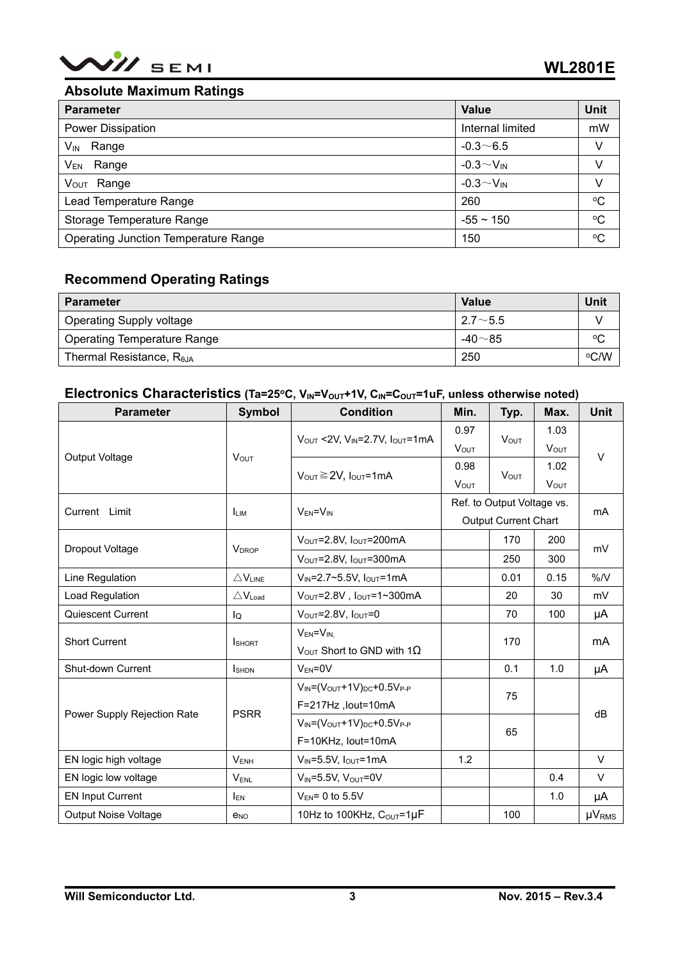

### **Absolute Maximum Ratings**

| <b>Parameter</b>                     | Value                     | <b>Unit</b> |
|--------------------------------------|---------------------------|-------------|
| Power Dissipation                    | Internal limited          | mW          |
| $V_{IN}$ Range                       | $-0.3\sim 6.5$            | v           |
| V <sub>EN</sub> Range                | $-0.3 \sim V_{\text{IN}}$ | V           |
| V <sub>OUT</sub> Range               | $-0.3 \sim V_{\text{IN}}$ | v           |
| Lead Temperature Range               | 260                       | $\rm ^{o}C$ |
| Storage Temperature Range            | $-55 \sim 150$            | $\rm ^{o}C$ |
| Operating Junction Temperature Range | 150                       | $\rm ^{o}C$ |

## **Recommend Operating Ratings**

| <b>Parameter</b>                   | Value          | Unit    |
|------------------------------------|----------------|---------|
| Operating Supply voltage           | $2.7 \sim 5.5$ |         |
| <b>Operating Temperature Range</b> | -40 $\sim$ 85  | $\circ$ |
| Thermal Resistance, $R_{\theta$ JA | 250            | °C/W    |

### Electronics Characteristics (Ta=25°C, V<sub>IN</sub>=V<sub>OUT</sub>+1V, C<sub>IN</sub>=C<sub>OUT</sub>=1uF, unless otherwise noted)

| <b>Parameter</b>            | <b>Symbol</b>               | <b>Condition</b>                                               | Min.                        | Typ.                    | Max.                | <b>Unit</b>  |
|-----------------------------|-----------------------------|----------------------------------------------------------------|-----------------------------|-------------------------|---------------------|--------------|
|                             | $V_{OUT}$                   | $V_{OUT}$ <2V, $V_{IN}$ =2.7V, $I_{OUT}$ =1mA                  | 0.97                        | <b>V</b> <sub>OUT</sub> | 1.03<br><b>VOUT</b> |              |
| Output Voltage              |                             |                                                                | <b>VOUT</b>                 |                         |                     | V            |
|                             |                             | $V_{\text{OUT}} \ge 2V$ , $I_{\text{OUT}} = 1 \text{mA}$       | 0.98                        | <b>VOUT</b>             | 1.02                |              |
|                             |                             |                                                                | <b>VOUT</b>                 |                         | <b>VOUT</b>         |              |
| Current Limit               | <b>LIM</b>                  | $V_{EN} = V_{IN}$                                              | Ref. to Output Voltage vs.  |                         |                     | mA           |
|                             |                             |                                                                | <b>Output Current Chart</b> |                         |                     |              |
| Dropout Voltage             | <b>VDROP</b>                | $V_{\text{OUT}}=2.8V, I_{\text{OUT}}=200mA$                    | 170                         |                         | 200                 | mV           |
|                             |                             | $V_{\text{OUT}}$ =2.8V, $I_{\text{OUT}}$ =300mA                | 250<br>300                  |                         |                     |              |
| Line Regulation             | $\triangle V_{LINE}$        | $V_{IN} = 2.7 \times 5.5 V$ , $I_{OUT} = 1 mA$<br>0.01<br>0.15 |                             |                         | $\%N$               |              |
| Load Regulation             | $\triangle V_{\text{Load}}$ | $V_{\text{OUT}}=2.8V$ , $I_{\text{OUT}}=1\sim300\text{mA}$     |                             | 20                      | 30                  | mV           |
| Quiescent Current           | lQ                          | $V_{\text{OUT}}=2.8V, I_{\text{OUT}}=0$                        |                             | 70                      | 100                 | μA           |
| <b>Short Current</b>        |                             | $V_{EN} = V_{IN}$                                              |                             | 170                     |                     |              |
|                             | <b>I</b> SHORT              | $V_{\text{OUT}}$ Short to GND with 1 $\Omega$                  |                             |                         |                     | mA           |
| Shut-down Current           | <b>I</b> SHDN               | $V_{EN} = 0V$                                                  |                             | 0.1                     | 1.0                 | μA           |
|                             |                             | $V_{IN} = (V_{OUT} + 1V)_{DC} + 0.5V_{P-P}$                    | 75                          |                         |                     | dB           |
| Power Supply Rejection Rate | <b>PSRR</b>                 | F=217Hz, lout=10mA                                             |                             |                         |                     |              |
|                             |                             | $V_{IN} = (V_{OUT} + 1V)_{DC} + 0.5V_{P-P}$                    | 65                          |                         |                     |              |
|                             |                             | F=10KHz, lout=10mA                                             |                             |                         |                     |              |
| EN logic high voltage       | $V_{ENH}$                   | $V_{IN} = 5.5V$ , $I_{OUT} = 1mA$                              | 1.2                         |                         |                     | $\vee$       |
| EN logic low voltage        | VENL                        | $V_{IN} = 5.5V$ , $V_{OUT} = 0V$                               |                             |                         | 0.4                 | $\vee$       |
| <b>EN Input Current</b>     | <b>IEN</b>                  | $V_{EN}$ = 0 to 5.5V                                           |                             |                         | 1.0                 | μA           |
| <b>Output Noise Voltage</b> | <b>e</b> <sub>NO</sub>      | 10Hz to 100KHz, Cour=1µF                                       |                             | 100                     |                     | <b>µVRMS</b> |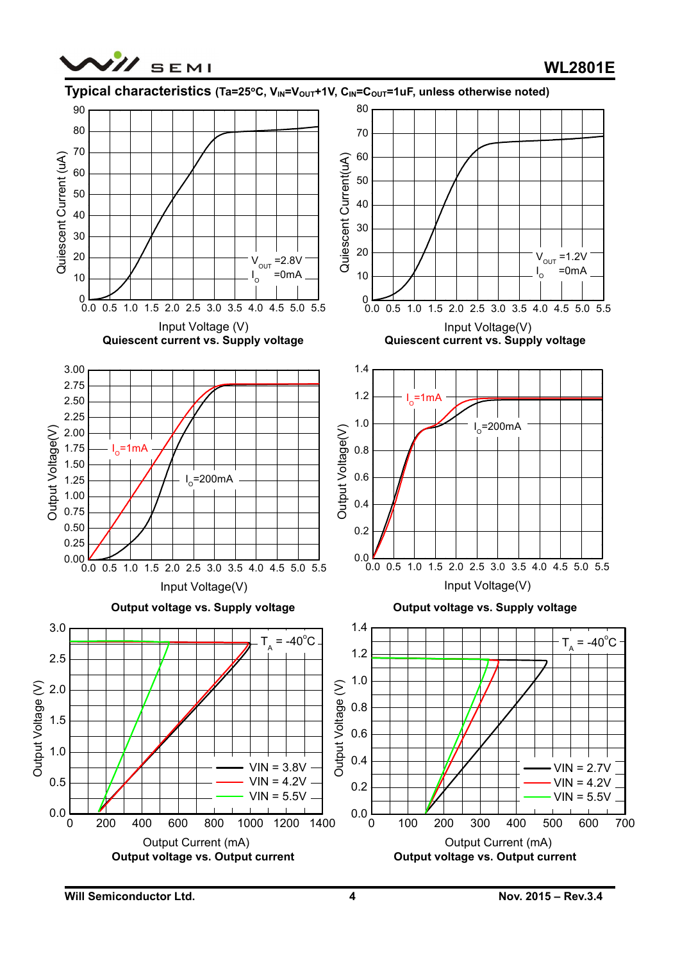



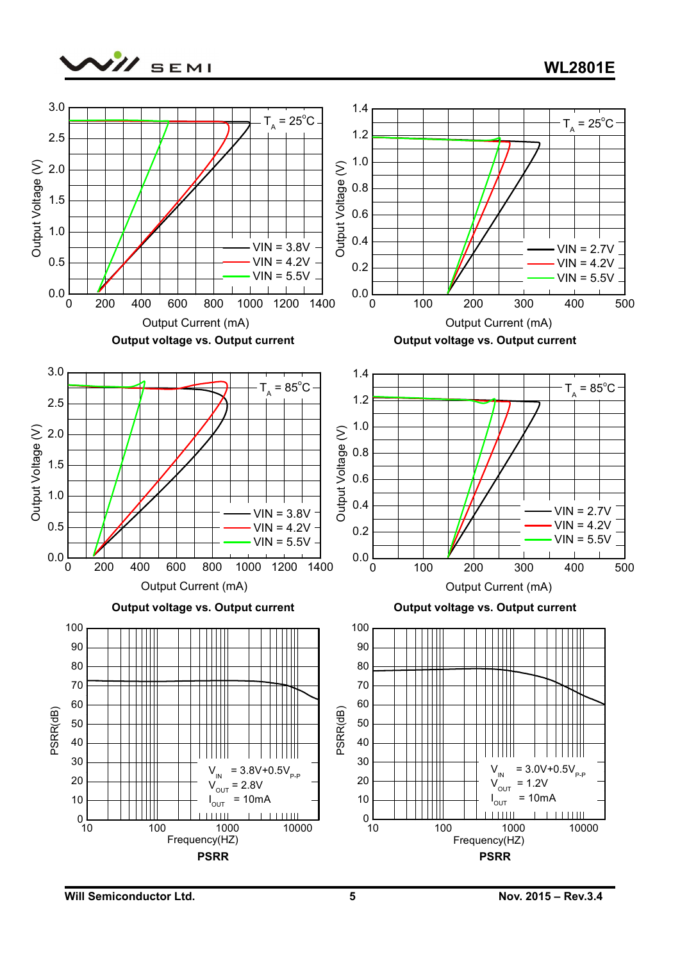

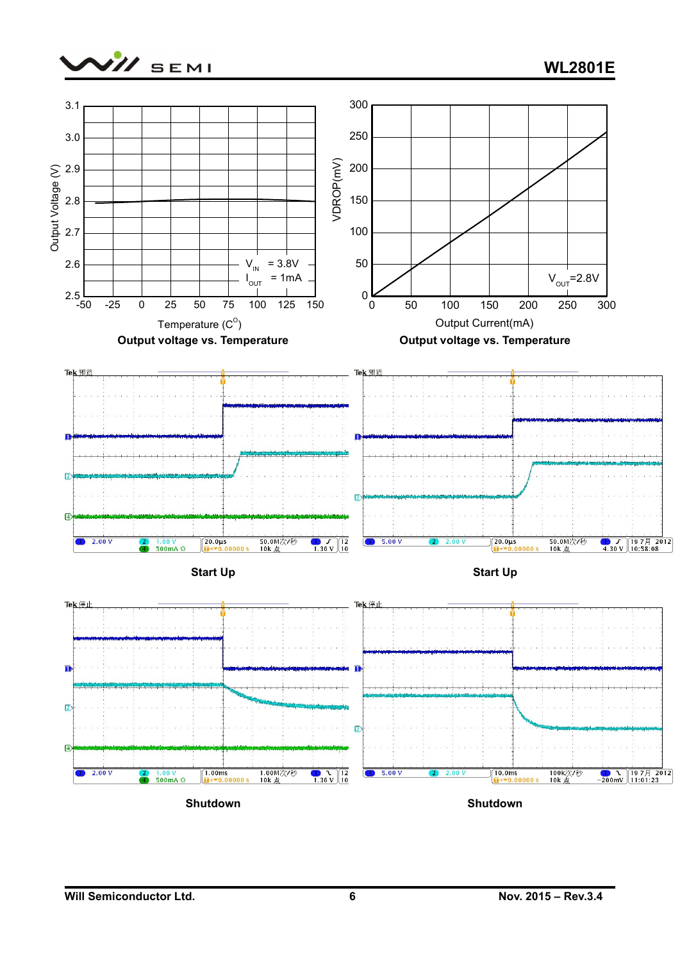

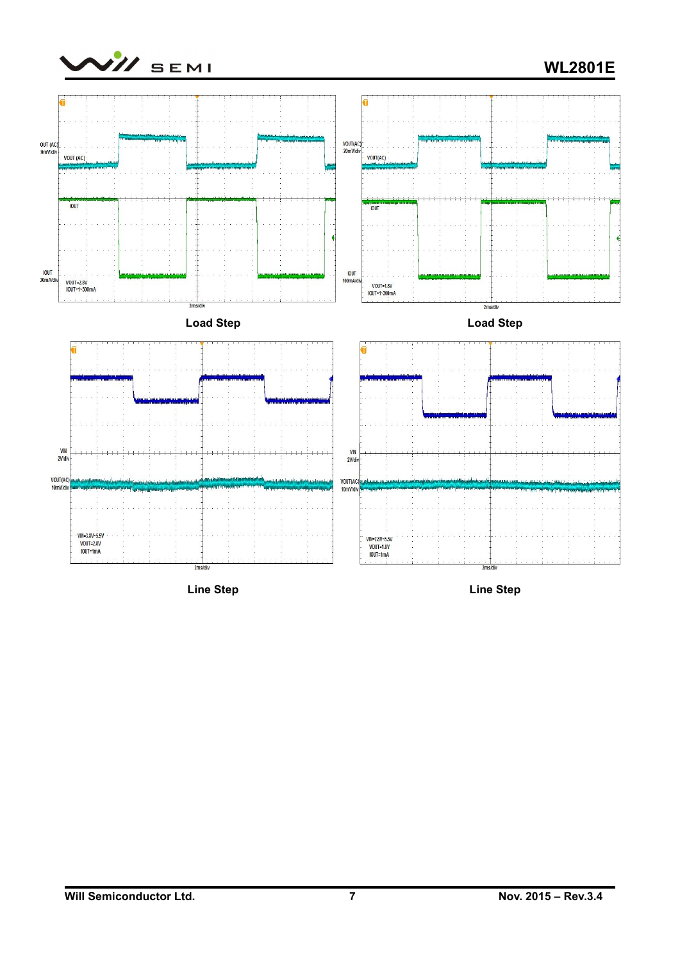

## **WL2801E**



**Line Step**

**Line Step**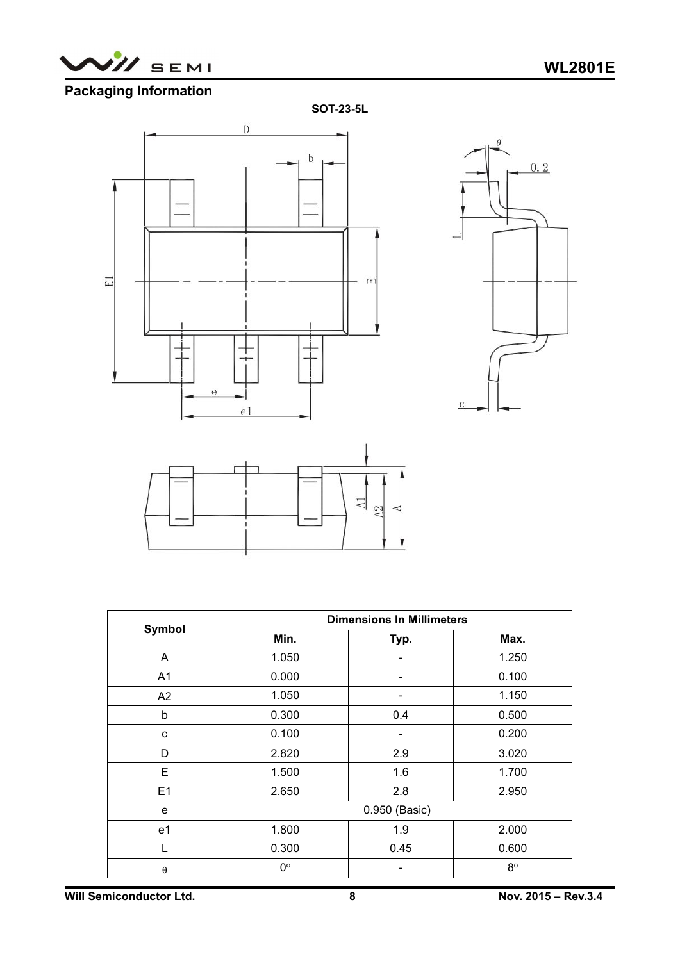

## **Packaging Information**







|                       | <b>Dimensions In Millimeters</b> |                          |             |  |  |  |
|-----------------------|----------------------------------|--------------------------|-------------|--|--|--|
| Symbol                | Min.                             | Typ.                     | Max.        |  |  |  |
| A                     | 1.050                            |                          | 1.250       |  |  |  |
| A1                    | 0.000                            | Ξ.                       | 0.100       |  |  |  |
| A2                    | 1.050                            |                          | 1.150       |  |  |  |
| b                     | 0.300                            | 0.4                      | 0.500       |  |  |  |
| $\mathbf{C}$          | 0.100                            | $\overline{\phantom{a}}$ | 0.200       |  |  |  |
| D                     | 2.820                            | 2.9                      | 3.020       |  |  |  |
| E                     | 1.500                            | 1.6                      | 1.700       |  |  |  |
| E1                    | 2.650                            | 2.8                      | 2.950       |  |  |  |
| e                     | 0.950 (Basic)                    |                          |             |  |  |  |
| e1                    | 1.800                            | 1.9                      | 2.000       |  |  |  |
|                       | 0.300                            | 0.45                     | 0.600       |  |  |  |
| $\boldsymbol{\theta}$ | $0^{\circ}$                      |                          | $8^{\circ}$ |  |  |  |

**Will Semiconductor Ltd.8 Nov. 2015 – Rev.3.4**